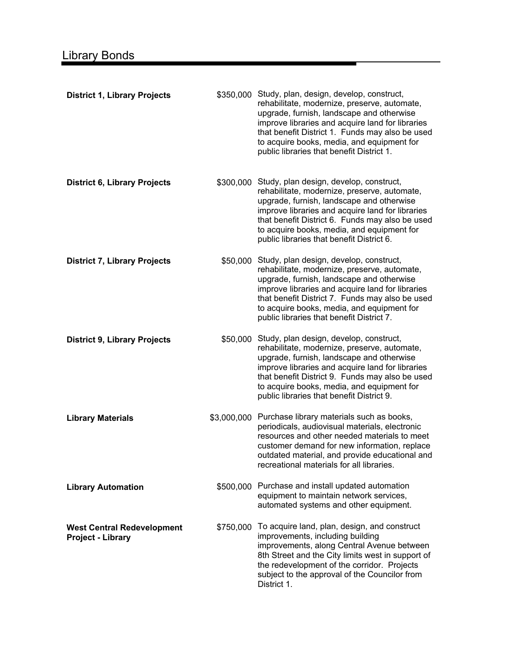| <b>District 1, Library Projects</b>                           |             | \$350,000 Study, plan, design, develop, construct,<br>rehabilitate, modernize, preserve, automate,<br>upgrade, furnish, landscape and otherwise<br>improve libraries and acquire land for libraries<br>that benefit District 1. Funds may also be used<br>to acquire books, media, and equipment for<br>public libraries that benefit District 1. |
|---------------------------------------------------------------|-------------|---------------------------------------------------------------------------------------------------------------------------------------------------------------------------------------------------------------------------------------------------------------------------------------------------------------------------------------------------|
| <b>District 6, Library Projects</b>                           |             | \$300,000 Study, plan design, develop, construct,<br>rehabilitate, modernize, preserve, automate,<br>upgrade, furnish, landscape and otherwise<br>improve libraries and acquire land for libraries<br>that benefit District 6. Funds may also be used<br>to acquire books, media, and equipment for<br>public libraries that benefit District 6.  |
| <b>District 7, Library Projects</b>                           |             | \$50,000 Study, plan design, develop, construct,<br>rehabilitate, modernize, preserve, automate,<br>upgrade, furnish, landscape and otherwise<br>improve libraries and acquire land for libraries<br>that benefit District 7. Funds may also be used<br>to acquire books, media, and equipment for<br>public libraries that benefit District 7.   |
| <b>District 9, Library Projects</b>                           | \$50,000    | Study, plan design, develop, construct,<br>rehabilitate, modernize, preserve, automate,<br>upgrade, furnish, landscape and otherwise<br>improve libraries and acquire land for libraries<br>that benefit District 9. Funds may also be used<br>to acquire books, media, and equipment for<br>public libraries that benefit District 9.            |
| <b>Library Materials</b>                                      | \$3,000,000 | Purchase library materials such as books,<br>periodicals, audiovisual materials, electronic<br>resources and other needed materials to meet<br>customer demand for new information, replace<br>outdated material, and provide educational and<br>recreational materials for all libraries.                                                        |
| <b>Library Automation</b>                                     |             | \$500,000 Purchase and install updated automation<br>equipment to maintain network services,<br>automated systems and other equipment.                                                                                                                                                                                                            |
| <b>West Central Redevelopment</b><br><b>Project - Library</b> | \$750,000   | To acquire land, plan, design, and construct<br>improvements, including building<br>improvements, along Central Avenue between<br>8th Street and the City limits west in support of<br>the redevelopment of the corridor. Projects<br>subject to the approval of the Councilor from<br>District 1.                                                |